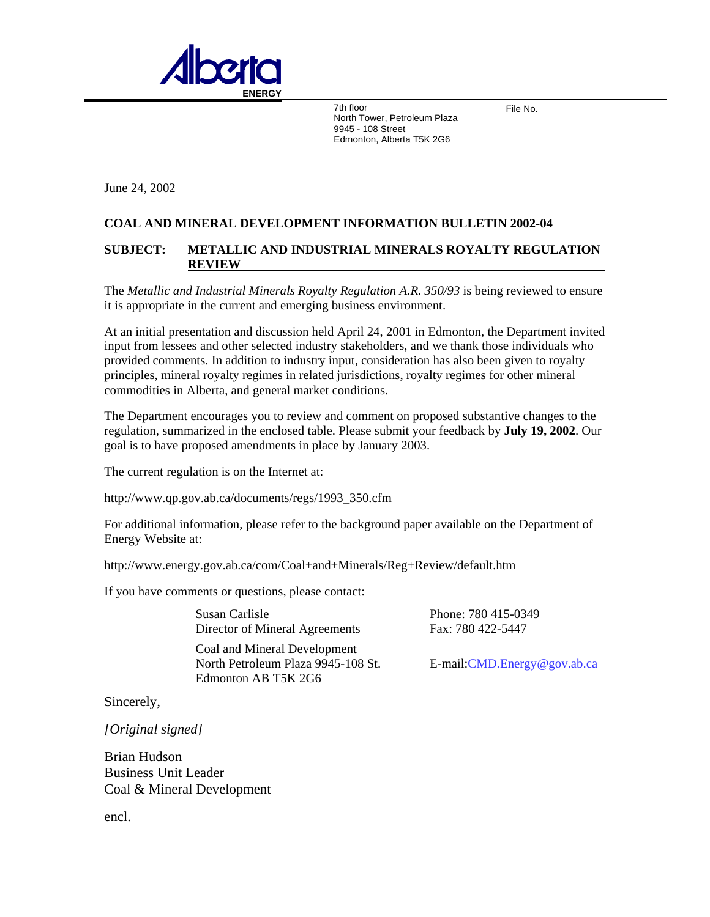

7th floor North Tower, Petroleum Plaza 9945 - 108 Street Edmonton, Alberta T5K 2G6

File No.

June 24, 2002

## **COAL AND MINERAL DEVELOPMENT INFORMATION BULLETIN 2002-04**

## **SUBJECT: METALLIC AND INDUSTRIAL MINERALS ROYALTY REGULATION REVIEW**

The *Metallic and Industrial Minerals Royalty Regulation A.R. 350/93* is being reviewed to ensure it is appropriate in the current and emerging business environment.

At an initial presentation and discussion held April 24, 2001 in Edmonton, the Department invited input from lessees and other selected industry stakeholders, and we thank those individuals who provided comments. In addition to industry input, consideration has also been given to royalty principles, mineral royalty regimes in related jurisdictions, royalty regimes for other mineral commodities in Alberta, and general market conditions.

The Department encourages you to review and comment on proposed substantive changes to the regulation, summarized in the enclosed table. Please submit your feedback by **July 19, 2002**. Our goal is to have proposed amendments in place by January 2003.

The current regulation is on the Internet at:

http://www.qp.gov.ab.ca/documents/regs/1993\_350.cfm

For additional information, please refer to the background paper available on the Department of Energy Website at:

http://www.energy.gov.ab.ca/com/Coal+and+Minerals/Reg+Review/default.htm

If you have comments or questions, please contact:

Susan Carlisle Director of Mineral Agreements

Coal and Mineral Development North Petroleum Plaza 9945-108 St. Edmonton AB T5K 2G6

Phone: 780 415-0349 Fax: 780 422-5447

E-mail:[CMD.Energy@gov.ab.ca](mailto:CMD.Energy@gov.ab.ca)

Sincerely,

*[Original signed]* 

Brian Hudson Business Unit Leader Coal & Mineral Development

[encl.](http://www.energy.gov.ab.ca/2795.asp)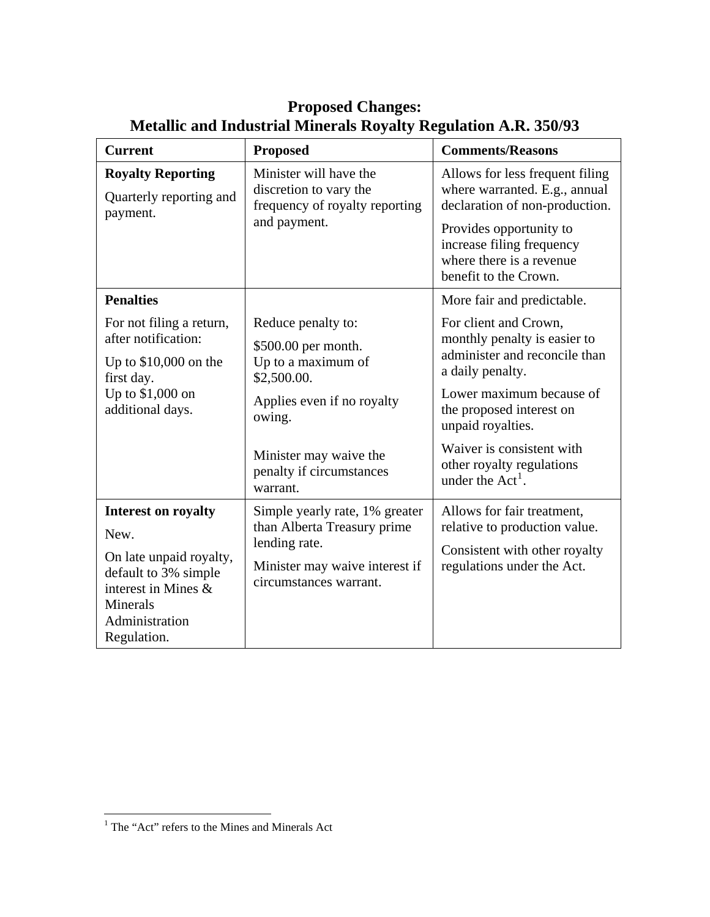| <b>Current</b>                                                                                                                                                   | <b>Proposed</b>                                                                                                                                                                          | <b>Comments/Reasons</b>                                                                                                                                                                                                                                                                               |
|------------------------------------------------------------------------------------------------------------------------------------------------------------------|------------------------------------------------------------------------------------------------------------------------------------------------------------------------------------------|-------------------------------------------------------------------------------------------------------------------------------------------------------------------------------------------------------------------------------------------------------------------------------------------------------|
| <b>Royalty Reporting</b><br>Quarterly reporting and<br>payment.                                                                                                  | Minister will have the<br>discretion to vary the<br>frequency of royalty reporting<br>and payment.                                                                                       | Allows for less frequent filing<br>where warranted. E.g., annual<br>declaration of non-production.<br>Provides opportunity to<br>increase filing frequency<br>where there is a revenue<br>benefit to the Crown.                                                                                       |
| <b>Penalties</b><br>For not filing a return,<br>after notification:<br>Up to $$10,000$ on the<br>first day.<br>Up to \$1,000 on<br>additional days.              | Reduce penalty to:<br>\$500.00 per month.<br>Up to a maximum of<br>\$2,500.00.<br>Applies even if no royalty<br>owing.<br>Minister may waive the<br>penalty if circumstances<br>warrant. | More fair and predictable.<br>For client and Crown,<br>monthly penalty is easier to<br>administer and reconcile than<br>a daily penalty.<br>Lower maximum because of<br>the proposed interest on<br>unpaid royalties.<br>Waiver is consistent with<br>other royalty regulations<br>under the $Act1$ . |
| <b>Interest on royalty</b><br>New.<br>On late unpaid royalty,<br>default to 3% simple<br>interest in Mines &<br><b>Minerals</b><br>Administration<br>Regulation. | Simple yearly rate, 1% greater<br>than Alberta Treasury prime<br>lending rate.<br>Minister may waive interest if<br>circumstances warrant.                                               | Allows for fair treatment,<br>relative to production value.<br>Consistent with other royalty<br>regulations under the Act.                                                                                                                                                                            |

## **Proposed Changes: Metallic and Industrial Minerals Royalty Regulation A.R. 350/93**

<span id="page-1-0"></span> 1 The "Act" refers to the Mines and Minerals Act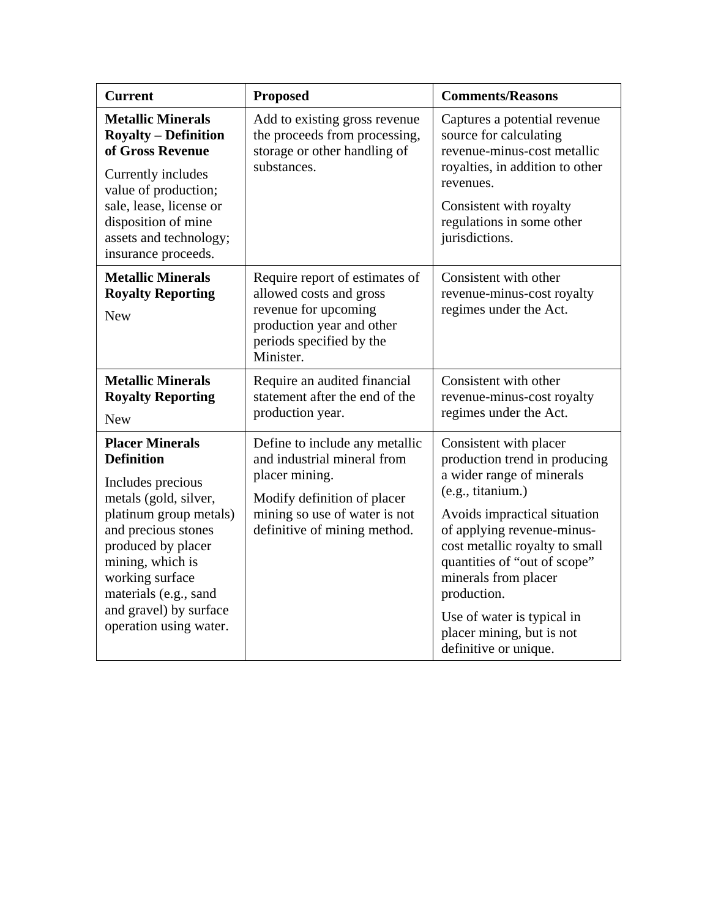| <b>Current</b>                                                                                                                                                                                                                                                                       | <b>Proposed</b>                                                                                                                                                                 | <b>Comments/Reasons</b>                                                                                                                                                                                                                                                                                                                                              |
|--------------------------------------------------------------------------------------------------------------------------------------------------------------------------------------------------------------------------------------------------------------------------------------|---------------------------------------------------------------------------------------------------------------------------------------------------------------------------------|----------------------------------------------------------------------------------------------------------------------------------------------------------------------------------------------------------------------------------------------------------------------------------------------------------------------------------------------------------------------|
| <b>Metallic Minerals</b><br><b>Royalty – Definition</b><br>of Gross Revenue<br>Currently includes<br>value of production;<br>sale, lease, license or<br>disposition of mine<br>assets and technology;<br>insurance proceeds.                                                         | Add to existing gross revenue<br>the proceeds from processing,<br>storage or other handling of<br>substances.                                                                   | Captures a potential revenue<br>source for calculating<br>revenue-minus-cost metallic<br>royalties, in addition to other<br>revenues.<br>Consistent with royalty<br>regulations in some other<br>jurisdictions.                                                                                                                                                      |
| <b>Metallic Minerals</b><br><b>Royalty Reporting</b><br><b>New</b>                                                                                                                                                                                                                   | Require report of estimates of<br>allowed costs and gross<br>revenue for upcoming<br>production year and other<br>periods specified by the<br>Minister.                         | Consistent with other<br>revenue-minus-cost royalty<br>regimes under the Act.                                                                                                                                                                                                                                                                                        |
| <b>Metallic Minerals</b><br><b>Royalty Reporting</b><br><b>New</b>                                                                                                                                                                                                                   | Require an audited financial<br>statement after the end of the<br>production year.                                                                                              | Consistent with other<br>revenue-minus-cost royalty<br>regimes under the Act.                                                                                                                                                                                                                                                                                        |
| <b>Placer Minerals</b><br><b>Definition</b><br>Includes precious<br>metals (gold, silver,<br>platinum group metals)<br>and precious stones<br>produced by placer<br>mining, which is<br>working surface<br>materials (e.g., sand<br>and gravel) by surface<br>operation using water. | Define to include any metallic<br>and industrial mineral from<br>placer mining.<br>Modify definition of placer<br>mining so use of water is not<br>definitive of mining method. | Consistent with placer<br>production trend in producing<br>a wider range of minerals<br>(e.g., titanium.)<br>Avoids impractical situation<br>of applying revenue-minus-<br>cost metallic royalty to small<br>quantities of "out of scope"<br>minerals from placer<br>production.<br>Use of water is typical in<br>placer mining, but is not<br>definitive or unique. |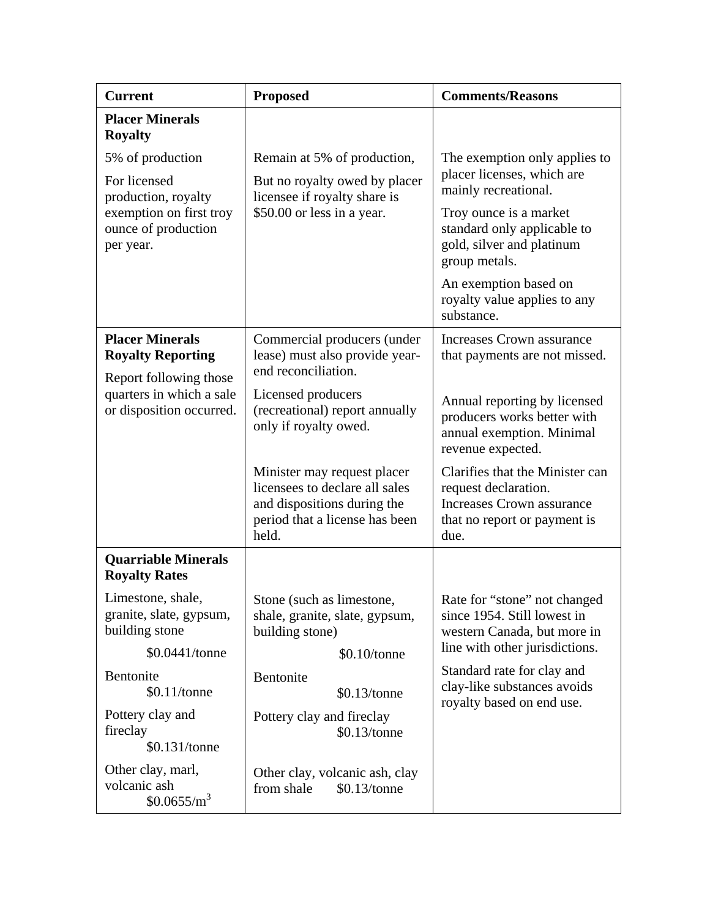| <b>Current</b>                                                               | <b>Proposed</b>                                                                                                                         | <b>Comments/Reasons</b>                                                                                                      |
|------------------------------------------------------------------------------|-----------------------------------------------------------------------------------------------------------------------------------------|------------------------------------------------------------------------------------------------------------------------------|
| <b>Placer Minerals</b><br><b>Royalty</b>                                     |                                                                                                                                         |                                                                                                                              |
| 5% of production                                                             | Remain at 5% of production,                                                                                                             | The exemption only applies to                                                                                                |
| For licensed<br>production, royalty                                          | But no royalty owed by placer<br>licensee if royalty share is                                                                           | placer licenses, which are<br>mainly recreational.                                                                           |
| exemption on first troy<br>ounce of production<br>per year.                  | \$50.00 or less in a year.                                                                                                              | Troy ounce is a market<br>standard only applicable to<br>gold, silver and platinum<br>group metals.                          |
|                                                                              |                                                                                                                                         | An exemption based on<br>royalty value applies to any<br>substance.                                                          |
| <b>Placer Minerals</b><br><b>Royalty Reporting</b><br>Report following those | Commercial producers (under<br>lease) must also provide year-<br>end reconciliation.                                                    | <b>Increases Crown assurance</b><br>that payments are not missed.                                                            |
| quarters in which a sale<br>or disposition occurred.                         | Licensed producers<br>(recreational) report annually<br>only if royalty owed.                                                           | Annual reporting by licensed<br>producers works better with<br>annual exemption. Minimal<br>revenue expected.                |
|                                                                              | Minister may request placer<br>licensees to declare all sales<br>and dispositions during the<br>period that a license has been<br>held. | Clarifies that the Minister can<br>request declaration.<br>Increases Crown assurance<br>that no report or payment is<br>due. |
| <b>Quarriable Minerals</b><br><b>Royalty Rates</b>                           |                                                                                                                                         |                                                                                                                              |
| Limestone, shale,<br>granite, slate, gypsum,<br>building stone               | Stone (such as limestone,<br>shale, granite, slate, gypsum,<br>building stone)                                                          | Rate for "stone" not changed<br>since 1954. Still lowest in<br>western Canada, but more in                                   |
| \$0.0441/tonne                                                               | \$0.10/tonne                                                                                                                            | line with other jurisdictions.                                                                                               |
| Bentonite<br>\$0.11/tonne                                                    | Bentonite<br>\$0.13/tonne                                                                                                               | Standard rate for clay and<br>clay-like substances avoids<br>royalty based on end use.                                       |
| Pottery clay and<br>fireclay<br>\$0.131/tonne                                | Pottery clay and fireclay<br>\$0.13/tonne                                                                                               |                                                                                                                              |
| Other clay, marl,<br>volcanic ash<br>$$0.0655/m^3$                           | Other clay, volcanic ash, clay<br>from shale<br>\$0.13/tonne                                                                            |                                                                                                                              |